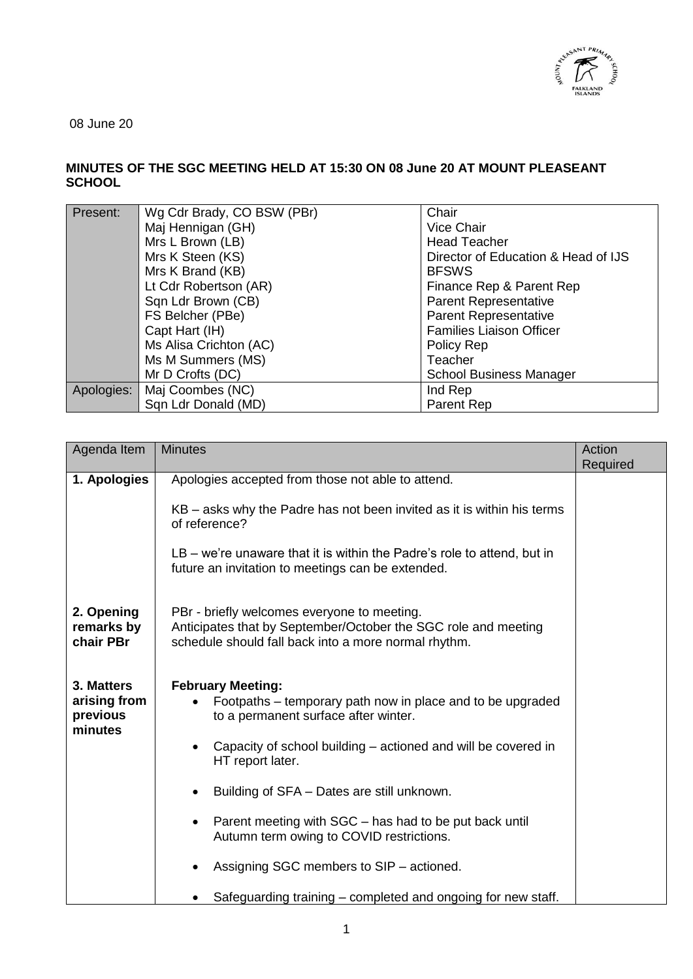

08 June 20

## **MINUTES OF THE SGC MEETING HELD AT 15:30 ON 08 June 20 AT MOUNT PLEASEANT SCHOOL**

| Present:   | Wg Cdr Brady, CO BSW (PBr) | Chair                               |
|------------|----------------------------|-------------------------------------|
|            | Maj Hennigan (GH)          | Vice Chair                          |
|            | Mrs L Brown (LB)           | <b>Head Teacher</b>                 |
|            | Mrs K Steen (KS)           | Director of Education & Head of IJS |
|            | Mrs K Brand (KB)           | <b>BFSWS</b>                        |
|            | Lt Cdr Robertson (AR)      | Finance Rep & Parent Rep            |
|            | Sqn Ldr Brown (CB)         | <b>Parent Representative</b>        |
|            | FS Belcher (PBe)           | <b>Parent Representative</b>        |
|            | Capt Hart (IH)             | <b>Families Liaison Officer</b>     |
|            | Ms Alisa Crichton (AC)     | Policy Rep                          |
|            | Ms M Summers (MS)          | Teacher                             |
|            | Mr D Crofts (DC)           | <b>School Business Manager</b>      |
| Apologies: | Maj Coombes (NC)           | Ind Rep                             |
|            | Sqn Ldr Donald (MD)        | Parent Rep                          |

| Agenda Item                                       | <b>Minutes</b>                                                                                                                                                                                                      | Action<br>Required |
|---------------------------------------------------|---------------------------------------------------------------------------------------------------------------------------------------------------------------------------------------------------------------------|--------------------|
| 1. Apologies                                      | Apologies accepted from those not able to attend.                                                                                                                                                                   |                    |
|                                                   | KB – asks why the Padre has not been invited as it is within his terms<br>of reference?                                                                                                                             |                    |
|                                                   | $LB - we're$ unaware that it is within the Padre's role to attend, but in<br>future an invitation to meetings can be extended.                                                                                      |                    |
| 2. Opening<br>remarks by<br>chair PBr             | PBr - briefly welcomes everyone to meeting.<br>Anticipates that by September/October the SGC role and meeting<br>schedule should fall back into a more normal rhythm.                                               |                    |
| 3. Matters<br>arising from<br>previous<br>minutes | <b>February Meeting:</b><br>Footpaths – temporary path now in place and to be upgraded<br>to a permanent surface after winter.<br>Capacity of school building – actioned and will be covered in<br>HT report later. |                    |
|                                                   | Building of SFA - Dates are still unknown.                                                                                                                                                                          |                    |
|                                                   | Parent meeting with SGC - has had to be put back until<br>Autumn term owing to COVID restrictions.                                                                                                                  |                    |
|                                                   | Assigning SGC members to SIP – actioned.                                                                                                                                                                            |                    |
|                                                   | Safeguarding training – completed and ongoing for new staff.                                                                                                                                                        |                    |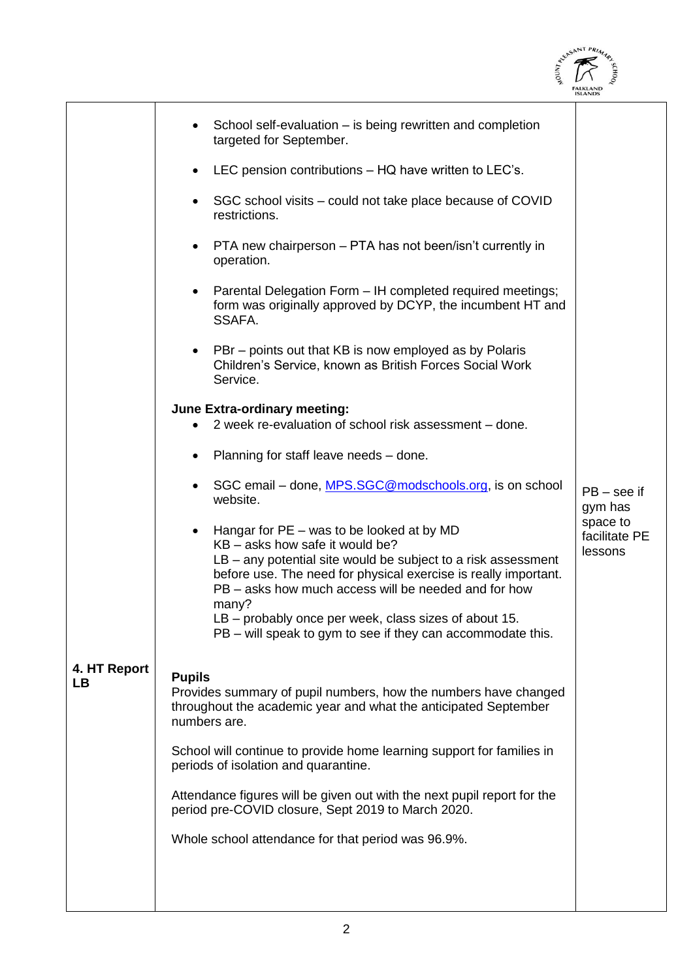

|                    |                                                                                                                                                                                                                                                                                                                                                                                                             | <b>ISLANDS</b>                       |
|--------------------|-------------------------------------------------------------------------------------------------------------------------------------------------------------------------------------------------------------------------------------------------------------------------------------------------------------------------------------------------------------------------------------------------------------|--------------------------------------|
|                    | School self-evaluation - is being rewritten and completion<br>targeted for September.                                                                                                                                                                                                                                                                                                                       |                                      |
|                    | LEC pension contributions – HQ have written to LEC's.                                                                                                                                                                                                                                                                                                                                                       |                                      |
|                    | SGC school visits – could not take place because of COVID<br>restrictions.                                                                                                                                                                                                                                                                                                                                  |                                      |
|                    | PTA new chairperson - PTA has not been/isn't currently in<br>operation.                                                                                                                                                                                                                                                                                                                                     |                                      |
|                    | Parental Delegation Form - IH completed required meetings;<br>$\bullet$<br>form was originally approved by DCYP, the incumbent HT and<br>SSAFA.                                                                                                                                                                                                                                                             |                                      |
|                    | PBr – points out that KB is now employed as by Polaris<br>Children's Service, known as British Forces Social Work<br>Service.                                                                                                                                                                                                                                                                               |                                      |
|                    | <b>June Extra-ordinary meeting:</b>                                                                                                                                                                                                                                                                                                                                                                         |                                      |
|                    | 2 week re-evaluation of school risk assessment – done.                                                                                                                                                                                                                                                                                                                                                      |                                      |
|                    | Planning for staff leave needs - done.<br>٠                                                                                                                                                                                                                                                                                                                                                                 |                                      |
|                    | SGC email – done, MPS.SGC@modschools.org, is on school<br>٠<br>website.                                                                                                                                                                                                                                                                                                                                     | $PB - see$ if<br>gym has             |
|                    | Hangar for $PE - was$ to be looked at by MD<br>KB – asks how safe it would be?<br>LB - any potential site would be subject to a risk assessment<br>before use. The need for physical exercise is really important.<br>PB – asks how much access will be needed and for how<br>many?<br>LB - probably once per week, class sizes of about 15.<br>PB – will speak to gym to see if they can accommodate this. | space to<br>facilitate PE<br>lessons |
|                    |                                                                                                                                                                                                                                                                                                                                                                                                             |                                      |
| 4. HT Report<br>LB | <b>Pupils</b><br>Provides summary of pupil numbers, how the numbers have changed<br>throughout the academic year and what the anticipated September<br>numbers are.                                                                                                                                                                                                                                         |                                      |
|                    | School will continue to provide home learning support for families in<br>periods of isolation and quarantine.                                                                                                                                                                                                                                                                                               |                                      |
|                    | Attendance figures will be given out with the next pupil report for the<br>period pre-COVID closure, Sept 2019 to March 2020.                                                                                                                                                                                                                                                                               |                                      |
|                    | Whole school attendance for that period was 96.9%.                                                                                                                                                                                                                                                                                                                                                          |                                      |
|                    |                                                                                                                                                                                                                                                                                                                                                                                                             |                                      |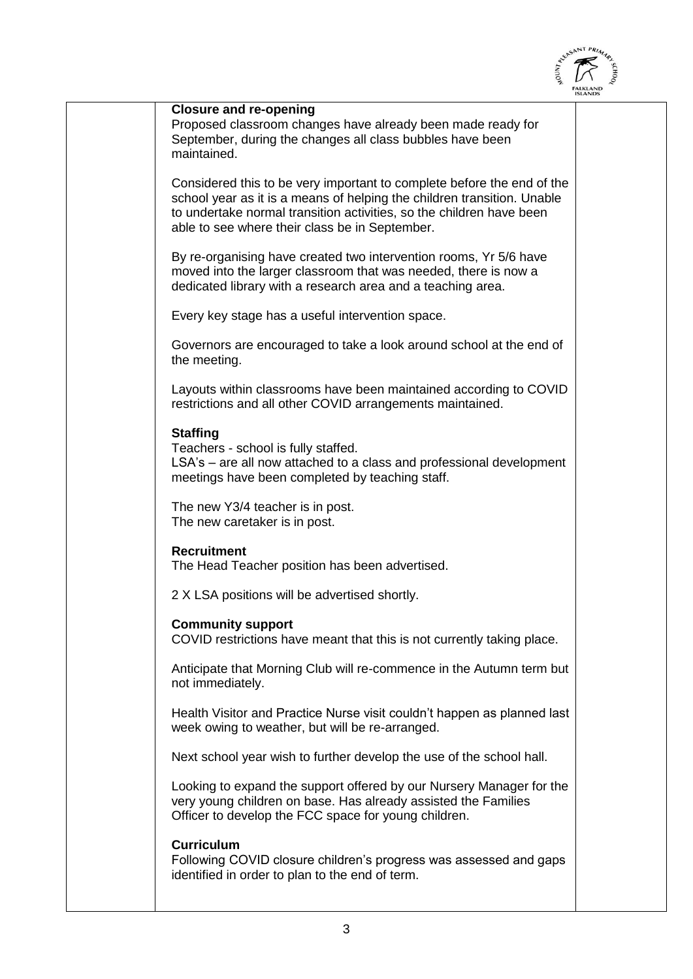

| <b>Closure and re-opening</b><br>Proposed classroom changes have already been made ready for<br>September, during the changes all class bubbles have been<br>maintained.                                                                                                    |  |
|-----------------------------------------------------------------------------------------------------------------------------------------------------------------------------------------------------------------------------------------------------------------------------|--|
| Considered this to be very important to complete before the end of the<br>school year as it is a means of helping the children transition. Unable<br>to undertake normal transition activities, so the children have been<br>able to see where their class be in September. |  |
| By re-organising have created two intervention rooms, Yr 5/6 have<br>moved into the larger classroom that was needed, there is now a<br>dedicated library with a research area and a teaching area.                                                                         |  |
| Every key stage has a useful intervention space.                                                                                                                                                                                                                            |  |
| Governors are encouraged to take a look around school at the end of<br>the meeting.                                                                                                                                                                                         |  |
| Layouts within classrooms have been maintained according to COVID<br>restrictions and all other COVID arrangements maintained.                                                                                                                                              |  |
| <b>Staffing</b><br>Teachers - school is fully staffed.<br>LSA's - are all now attached to a class and professional development<br>meetings have been completed by teaching staff.                                                                                           |  |
| The new Y3/4 teacher is in post.<br>The new caretaker is in post.                                                                                                                                                                                                           |  |
| <b>Recruitment</b><br>The Head Teacher position has been advertised.                                                                                                                                                                                                        |  |
| 2 X LSA positions will be advertised shortly.                                                                                                                                                                                                                               |  |
| <b>Community support</b><br>COVID restrictions have meant that this is not currently taking place.                                                                                                                                                                          |  |
| Anticipate that Morning Club will re-commence in the Autumn term but<br>not immediately.                                                                                                                                                                                    |  |
| Health Visitor and Practice Nurse visit couldn't happen as planned last<br>week owing to weather, but will be re-arranged.                                                                                                                                                  |  |
| Next school year wish to further develop the use of the school hall.                                                                                                                                                                                                        |  |
| Looking to expand the support offered by our Nursery Manager for the<br>very young children on base. Has already assisted the Families<br>Officer to develop the FCC space for young children.                                                                              |  |
| <b>Curriculum</b><br>Following COVID closure children's progress was assessed and gaps<br>identified in order to plan to the end of term.                                                                                                                                   |  |
|                                                                                                                                                                                                                                                                             |  |

 $\overline{a}$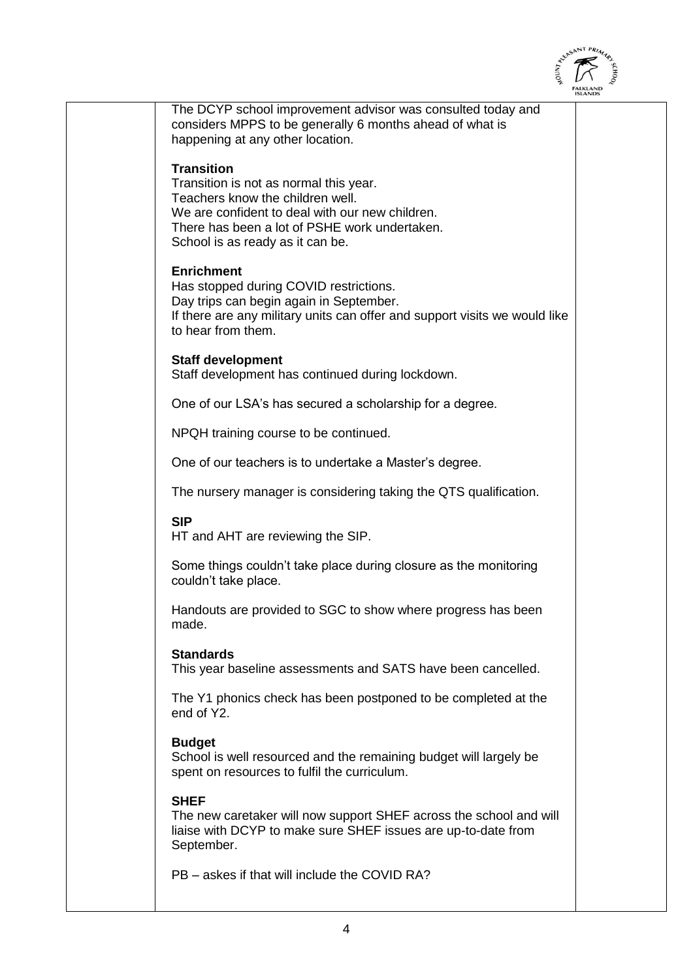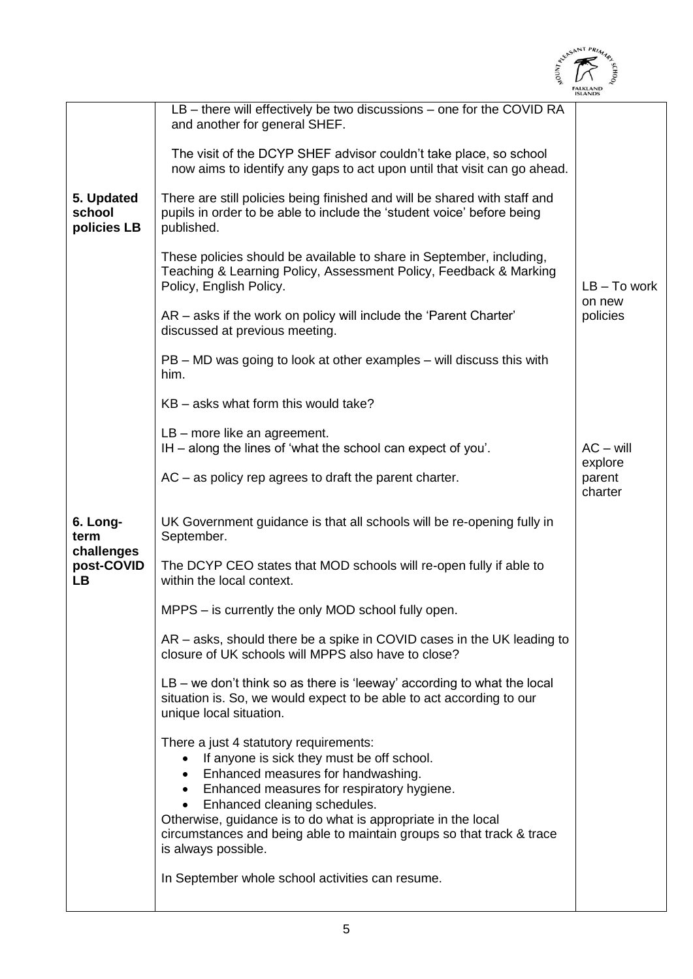|                                     |                                                                                                                                                                                                                                                                                                                                                                           | ALEASANT PRIM                |
|-------------------------------------|---------------------------------------------------------------------------------------------------------------------------------------------------------------------------------------------------------------------------------------------------------------------------------------------------------------------------------------------------------------------------|------------------------------|
|                                     |                                                                                                                                                                                                                                                                                                                                                                           |                              |
|                                     |                                                                                                                                                                                                                                                                                                                                                                           |                              |
|                                     | LB – there will effectively be two discussions – one for the COVID RA<br>and another for general SHEF.                                                                                                                                                                                                                                                                    |                              |
|                                     | The visit of the DCYP SHEF advisor couldn't take place, so school<br>now aims to identify any gaps to act upon until that visit can go ahead.                                                                                                                                                                                                                             |                              |
| 5. Updated<br>school<br>policies LB | There are still policies being finished and will be shared with staff and<br>pupils in order to be able to include the 'student voice' before being<br>published.                                                                                                                                                                                                         |                              |
|                                     | These policies should be available to share in September, including,<br>Teaching & Learning Policy, Assessment Policy, Feedback & Marking<br>Policy, English Policy.                                                                                                                                                                                                      | $LB - To work$<br>on new     |
|                                     | AR – asks if the work on policy will include the 'Parent Charter'<br>discussed at previous meeting.                                                                                                                                                                                                                                                                       | policies                     |
|                                     | $PB - MD$ was going to look at other examples $-$ will discuss this with<br>him.                                                                                                                                                                                                                                                                                          |                              |
|                                     | KB – asks what form this would take?                                                                                                                                                                                                                                                                                                                                      |                              |
|                                     | LB - more like an agreement.<br>IH – along the lines of 'what the school can expect of you'.                                                                                                                                                                                                                                                                              | $AC - will$                  |
|                                     | $AC - as policy rep agrees to draft the parent chart.$                                                                                                                                                                                                                                                                                                                    | explore<br>parent<br>charter |
| 6. Long-<br>term                    | UK Government guidance is that all schools will be re-opening fully in<br>September.                                                                                                                                                                                                                                                                                      |                              |
| challenges<br>post-COVID<br>LB.     | The DCYP CEO states that MOD schools will re-open fully if able to<br>within the local context.                                                                                                                                                                                                                                                                           |                              |
|                                     | MPPS – is currently the only MOD school fully open.                                                                                                                                                                                                                                                                                                                       |                              |
|                                     | AR – asks, should there be a spike in COVID cases in the UK leading to<br>closure of UK schools will MPPS also have to close?                                                                                                                                                                                                                                             |                              |
|                                     | LB - we don't think so as there is 'leeway' according to what the local<br>situation is. So, we would expect to be able to act according to our<br>unique local situation.                                                                                                                                                                                                |                              |
|                                     | There a just 4 statutory requirements:<br>If anyone is sick they must be off school.<br>Enhanced measures for handwashing.<br>Enhanced measures for respiratory hygiene.<br>Enhanced cleaning schedules.<br>Otherwise, guidance is to do what is appropriate in the local<br>circumstances and being able to maintain groups so that track & trace<br>is always possible. |                              |
|                                     | In September whole school activities can resume.                                                                                                                                                                                                                                                                                                                          |                              |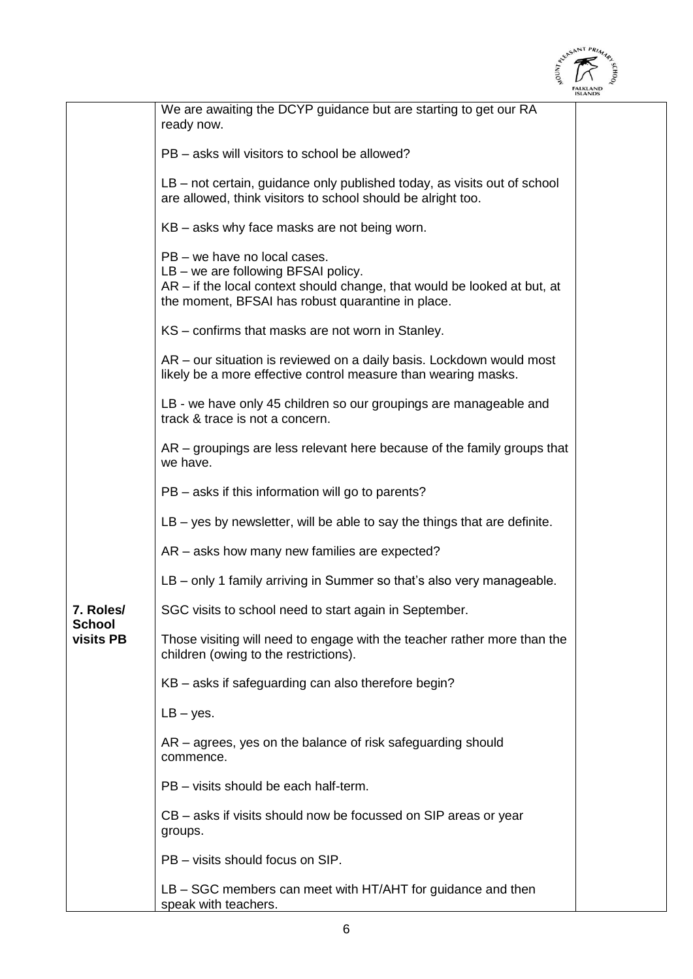

|                            |                                                                                                                                                                                                      | <b>ISLANDS</b> |
|----------------------------|------------------------------------------------------------------------------------------------------------------------------------------------------------------------------------------------------|----------------|
|                            | We are awaiting the DCYP guidance but are starting to get our RA<br>ready now.                                                                                                                       |                |
|                            | PB – asks will visitors to school be allowed?                                                                                                                                                        |                |
|                            | LB – not certain, guidance only published today, as visits out of school<br>are allowed, think visitors to school should be alright too.                                                             |                |
|                            | KB – asks why face masks are not being worn.                                                                                                                                                         |                |
|                            | PB - we have no local cases.<br>LB – we are following BFSAI policy.<br>AR - if the local context should change, that would be looked at but, at<br>the moment, BFSAI has robust quarantine in place. |                |
|                            | KS - confirms that masks are not worn in Stanley.                                                                                                                                                    |                |
|                            | $AR$ – our situation is reviewed on a daily basis. Lockdown would most<br>likely be a more effective control measure than wearing masks.                                                             |                |
|                            | LB - we have only 45 children so our groupings are manageable and<br>track & trace is not a concern.                                                                                                 |                |
|                            | $AR -$ groupings are less relevant here because of the family groups that<br>we have.                                                                                                                |                |
|                            | PB – asks if this information will go to parents?                                                                                                                                                    |                |
|                            | $LB - yes$ by newsletter, will be able to say the things that are definite.                                                                                                                          |                |
|                            | AR – asks how many new families are expected?                                                                                                                                                        |                |
|                            | LB – only 1 family arriving in Summer so that's also very manageable.                                                                                                                                |                |
| 7. Roles/                  | SGC visits to school need to start again in September.                                                                                                                                               |                |
| <b>School</b><br>visits PB | Those visiting will need to engage with the teacher rather more than the<br>children (owing to the restrictions).                                                                                    |                |
|                            | KB – asks if safeguarding can also therefore begin?                                                                                                                                                  |                |
|                            | $LB - yes.$                                                                                                                                                                                          |                |
|                            | AR – agrees, yes on the balance of risk safeguarding should<br>commence.                                                                                                                             |                |
|                            | PB - visits should be each half-term.                                                                                                                                                                |                |
|                            | CB – asks if visits should now be focussed on SIP areas or year<br>groups.                                                                                                                           |                |
|                            | PB - visits should focus on SIP.                                                                                                                                                                     |                |
|                            | $LB - SGC$ members can meet with HT/AHT for guidance and then<br>speak with teachers.                                                                                                                |                |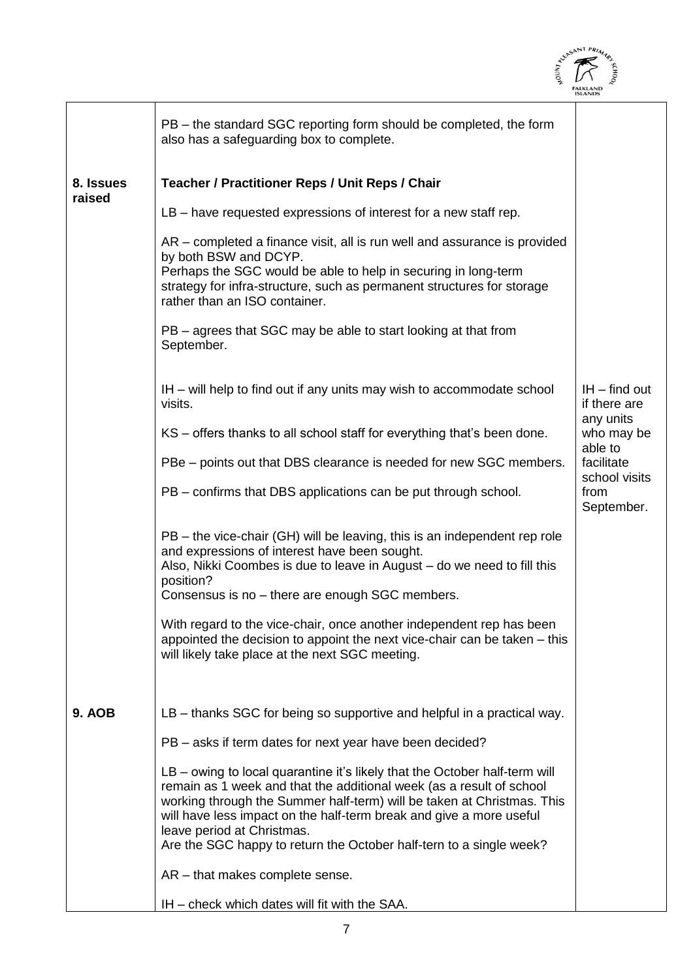| NOON                                                                                                                                                                                                                                                                            | atchshmi PRIM |
|---------------------------------------------------------------------------------------------------------------------------------------------------------------------------------------------------------------------------------------------------------------------------------|---------------|
| PB – the standard SGC reporting form should be completed, the form<br>also has a safeguarding box to complete.                                                                                                                                                                  |               |
| <b>Teacher / Practitioner Reps / Unit Reps / Chair</b>                                                                                                                                                                                                                          |               |
| $LB$ – have requested expressions of interest for a new staff rep.                                                                                                                                                                                                              |               |
| AR – completed a finance visit, all is run well and assurance is provided<br>by both BSW and DCYP.<br>Perhaps the SGC would be able to help in securing in long-term<br>strategy for infra-structure, such as permanent structures for storage<br>rather than an ISO container. |               |
| PB – agrees that SGC may be able to start looking at that from<br>September.                                                                                                                                                                                                    |               |

IH – find out if there are any units who may be able to facilitate school visits

from

September.

IH – will help to find out if any units may wish to accommodate school visits.

KS – offers thanks to all school staff for everything that's been done.

PBe – points out that DBS clearance is needed for new SGC members.

PB – confirms that DBS applications can be put through school.

PB – the vice-chair (GH) will be leaving, this is an independent rep role and expressions of interest have been sought. Also, Nikki Coombes is due to leave in August – do we need to fill this position?

Consensus is no – there are enough SGC members.

With regard to the vice-chair, once another independent rep has been appointed the decision to appoint the next vice-chair can be taken – this will likely take place at the next SGC meeting.

**9. AOB** LB – thanks SGC for being so supportive and helpful in a practical way.

PB – asks if term dates for next year have been decided?

LB – owing to local quarantine it's likely that the October half-term will remain as 1 week and that the additional week (as a result of school working through the Summer half-term) will be taken at Christmas. This will have less impact on the half-term break and give a more useful leave period at Christmas. Are the SGC happy to return the October half-tern to a single week?

AR – that makes complete sense.

 $\overline{a}$ 

**8. Issues raised**

IH – check which dates will fit with the SAA.